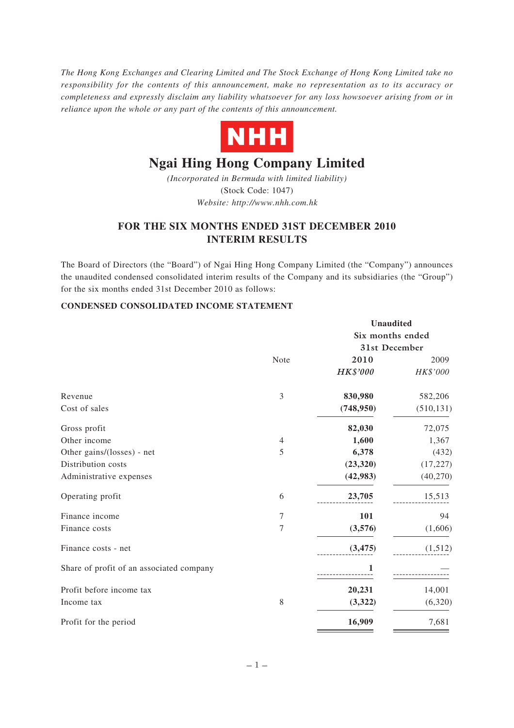*The Hong Kong Exchanges and Clearing Limited and The Stock Exchange of Hong Kong Limited take no responsibility for the contents of this announcement, make no representation as to its accuracy or completeness and expressly disclaim any liability whatsoever for any loss howsoever arising from or in reliance upon the whole or any part of the contents of this announcement.*



# **Ngai Hing Hong Company Limited**

*(Incorporated in Bermuda with limited liability)* (Stock Code: 1047) *Website: http://www.nhh.com.hk*

# **FOR THE SIX MONTHS ENDED 31ST DECEMBER 2010 INTERIM RESULTS**

The Board of Directors (the "Board") of Ngai Hing Hong Company Limited (the "Company") announces the unaudited condensed consolidated interim results of the Company and its subsidiaries (the "Group") for the six months ended 31st December 2010 as follows:

## **CONDENSED CONSOLIDATED INCOME STATEMENT**

|                                          |                | <b>Unaudited</b> |            |  |  |
|------------------------------------------|----------------|------------------|------------|--|--|
|                                          |                | Six months ended |            |  |  |
|                                          |                | 31st December    |            |  |  |
|                                          | Note           | 2010             | 2009       |  |  |
|                                          |                | <b>HK\$'000</b>  | HK\$'000   |  |  |
| Revenue                                  | 3              | 830,980          | 582,206    |  |  |
| Cost of sales                            |                | (748, 950)       | (510, 131) |  |  |
| Gross profit                             |                | 82,030           | 72,075     |  |  |
| Other income                             | $\overline{4}$ | 1,600            | 1,367      |  |  |
| Other gains/(losses) - net               | 5              | 6,378            | (432)      |  |  |
| Distribution costs                       |                | (23, 320)        | (17, 227)  |  |  |
| Administrative expenses                  |                | (42, 983)        | (40, 270)  |  |  |
| Operating profit                         | 6              | 23,705           | 15,513     |  |  |
| Finance income                           | 7              | 101              | 94         |  |  |
| Finance costs                            | 7              | (3,576)          | (1,606)    |  |  |
| Finance costs - net                      |                | (3, 475)         | (1,512)    |  |  |
| Share of profit of an associated company |                |                  |            |  |  |
| Profit before income tax                 |                | 20,231           | 14,001     |  |  |
| Income tax                               | 8              | (3,322)          | (6,320)    |  |  |
| Profit for the period                    |                | 16,909           | 7,681      |  |  |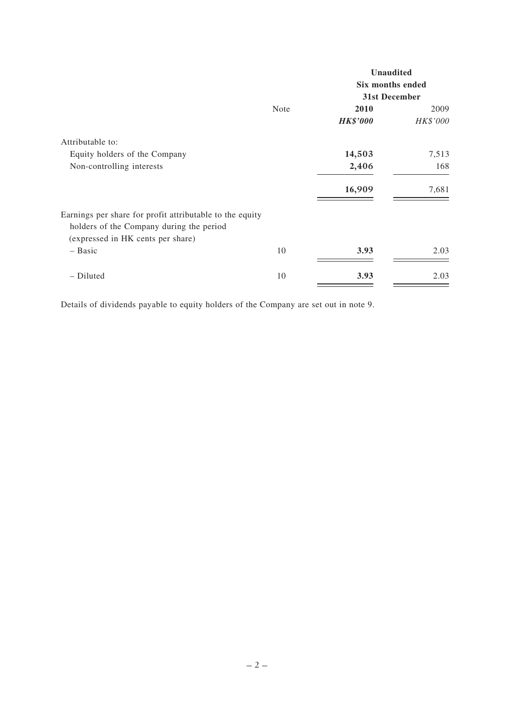|                                                                                                                                           |             | <b>Unaudited</b>                  |          |  |
|-------------------------------------------------------------------------------------------------------------------------------------------|-------------|-----------------------------------|----------|--|
|                                                                                                                                           |             | Six months ended<br>31st December |          |  |
|                                                                                                                                           |             |                                   |          |  |
|                                                                                                                                           | <b>Note</b> | 2010                              | 2009     |  |
|                                                                                                                                           |             | <b>HK\$'000</b>                   | HK\$'000 |  |
| Attributable to:                                                                                                                          |             |                                   |          |  |
| Equity holders of the Company                                                                                                             |             | 14,503                            | 7,513    |  |
| Non-controlling interests                                                                                                                 |             | 2,406                             | 168      |  |
|                                                                                                                                           |             | 16,909                            | 7,681    |  |
| Earnings per share for profit attributable to the equity<br>holders of the Company during the period<br>(expressed in HK cents per share) |             |                                   |          |  |
| $-$ Basic                                                                                                                                 | 10          | 3.93                              | 2.03     |  |
| - Diluted                                                                                                                                 | 10          | 3.93                              | 2.03     |  |

Details of dividends payable to equity holders of the Company are set out in note 9.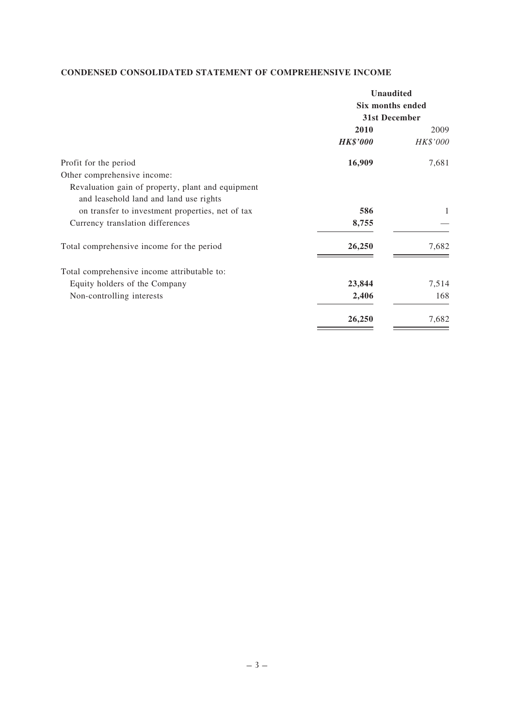# **CONDENSED CONSOLIDATED STATEMENT OF COMPREHENSIVE INCOME**

| <b>Unaudited</b> |          |  |
|------------------|----------|--|
| Six months ended |          |  |
| 31st December    |          |  |
| 2010             | 2009     |  |
| <b>HK\$'000</b>  | HK\$'000 |  |
| 16,909           | 7,681    |  |
|                  |          |  |
|                  |          |  |
|                  |          |  |
| 586              | 1        |  |
| 8,755            |          |  |
| 26,250           | 7,682    |  |
|                  |          |  |
| 23,844           | 7,514    |  |
| 2,406            | 168      |  |
| 26,250           | 7,682    |  |
|                  |          |  |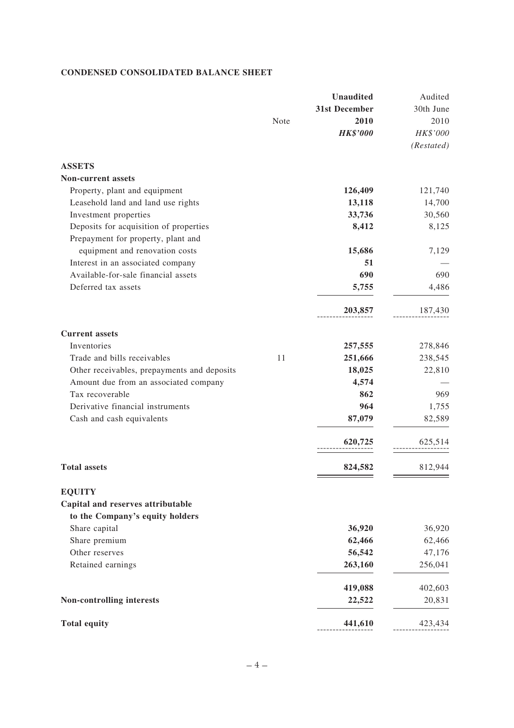# **CONDENSED CONSOLIDATED BALANCE SHEET**

|                                             |      | <b>Unaudited</b> | Audited    |
|---------------------------------------------|------|------------------|------------|
|                                             |      | 31st December    | 30th June  |
|                                             | Note | 2010             | 2010       |
|                                             |      | <b>HK\$'000</b>  | HK\$'000   |
|                                             |      |                  | (Restated) |
| <b>ASSETS</b>                               |      |                  |            |
| <b>Non-current assets</b>                   |      |                  |            |
| Property, plant and equipment               |      | 126,409          | 121,740    |
| Leasehold land and land use rights          |      | 13,118           | 14,700     |
| Investment properties                       |      | 33,736           | 30,560     |
| Deposits for acquisition of properties      |      | 8,412            | 8,125      |
| Prepayment for property, plant and          |      |                  |            |
| equipment and renovation costs              |      | 15,686           | 7,129      |
| Interest in an associated company           |      | 51               |            |
| Available-for-sale financial assets         |      | 690              | 690        |
| Deferred tax assets                         |      | 5,755            | 4,486      |
|                                             |      |                  |            |
|                                             |      | 203,857          | 187,430    |
| <b>Current</b> assets                       |      |                  |            |
| Inventories                                 |      | 257,555          | 278,846    |
| Trade and bills receivables                 | 11   | 251,666          | 238,545    |
| Other receivables, prepayments and deposits |      | 18,025           | 22,810     |
| Amount due from an associated company       |      | 4,574            |            |
| Tax recoverable                             |      | 862              | 969        |
| Derivative financial instruments            |      | 964              | 1,755      |
| Cash and cash equivalents                   |      | 87,079           | 82,589     |
|                                             |      | 620,725          | 625,514    |
| <b>Total assets</b>                         |      |                  | 812,944    |
|                                             |      | 824,582          |            |
| <b>EQUITY</b>                               |      |                  |            |
| Capital and reserves attributable           |      |                  |            |
| to the Company's equity holders             |      |                  |            |
| Share capital                               |      | 36,920           | 36,920     |
| Share premium                               |      | 62,466           | 62,466     |
| Other reserves                              |      | 56,542           | 47,176     |
| Retained earnings                           |      | 263,160          | 256,041    |
|                                             |      | 419,088          | 402,603    |
| Non-controlling interests                   |      | 22,522           | 20,831     |
| <b>Total equity</b>                         |      | 441,610          | 423,434    |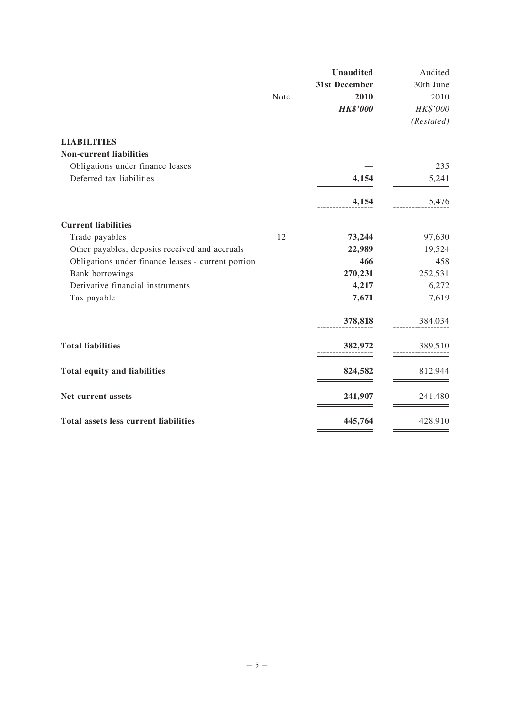|                                                    |      | <b>Unaudited</b> | Audited    |
|----------------------------------------------------|------|------------------|------------|
|                                                    |      | 31st December    | 30th June  |
|                                                    | Note | 2010             | 2010       |
|                                                    |      | <b>HK\$'000</b>  | HK\$'000   |
|                                                    |      |                  | (Restated) |
| <b>LIABILITIES</b>                                 |      |                  |            |
| <b>Non-current liabilities</b>                     |      |                  |            |
| Obligations under finance leases                   |      |                  | 235        |
| Deferred tax liabilities                           |      | 4,154            | 5,241      |
|                                                    |      | 4,154            | 5,476      |
| <b>Current liabilities</b>                         |      |                  |            |
| Trade payables                                     | 12   | 73,244           | 97,630     |
| Other payables, deposits received and accruals     |      | 22,989           | 19,524     |
| Obligations under finance leases - current portion |      | 466              | 458        |
| Bank borrowings                                    |      | 270,231          | 252,531    |
| Derivative financial instruments                   |      | 4,217            | 6,272      |
| Tax payable                                        |      | 7,671            | 7,619      |
|                                                    |      | 378,818          | 384,034    |
| <b>Total liabilities</b>                           |      | 382,972          | 389,510    |
| <b>Total equity and liabilities</b>                |      | 824,582          | 812,944    |
| Net current assets                                 |      | 241,907          | 241,480    |
| Total assets less current liabilities              |      | 445,764          | 428,910    |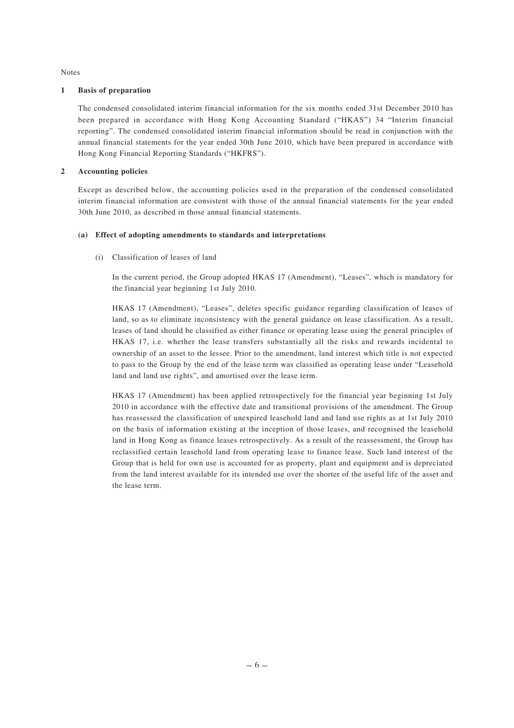Notes

#### **1 Basis of preparation**

The condensed consolidated interim financial information for the six months ended 31st December 2010 has been prepared in accordance with Hong Kong Accounting Standard ("HKAS") 34 "Interim financial reporting". The condensed consolidated interim financial information should be read in conjunction with the annual financial statements for the year ended 30th June 2010, which have been prepared in accordance with Hong Kong Financial Reporting Standards ("HKFRS").

#### **2 Accounting policies**

Except as described below, the accounting policies used in the preparation of the condensed consolidated interim financial information are consistent with those of the annual financial statements for the year ended 30th June 2010, as described in those annual financial statements.

#### **(a) Effect of adopting amendments to standards and interpretations**

(i) Classification of leases of land

In the current period, the Group adopted HKAS 17 (Amendment), "Leases", which is mandatory for the financial year beginning 1st July 2010.

HKAS 17 (Amendment), "Leases", deletes specific guidance regarding classification of leases of land, so as to eliminate inconsistency with the general guidance on lease classification. As a result, leases of land should be classified as either finance or operating lease using the general principles of HKAS 17, i.e. whether the lease transfers substantially all the risks and rewards incidental to ownership of an asset to the lessee. Prior to the amendment, land interest which title is not expected to pass to the Group by the end of the lease term was classified as operating lease under "Leasehold land and land use rights", and amortised over the lease term.

HKAS 17 (Amendment) has been applied retrospectively for the financial year beginning 1st July 2010 in accordance with the effective date and transitional provisions of the amendment. The Group has reassessed the classification of unexpired leasehold land and land use rights as at 1st July 2010 on the basis of information existing at the inception of those leases, and recognised the leasehold land in Hong Kong as finance leases retrospectively. As a result of the reassessment, the Group has reclassified certain leasehold land from operating lease to finance lease. Such land interest of the Group that is held for own use is accounted for as property, plant and equipment and is depreciated from the land interest available for its intended use over the shorter of the useful life of the asset and the lease term.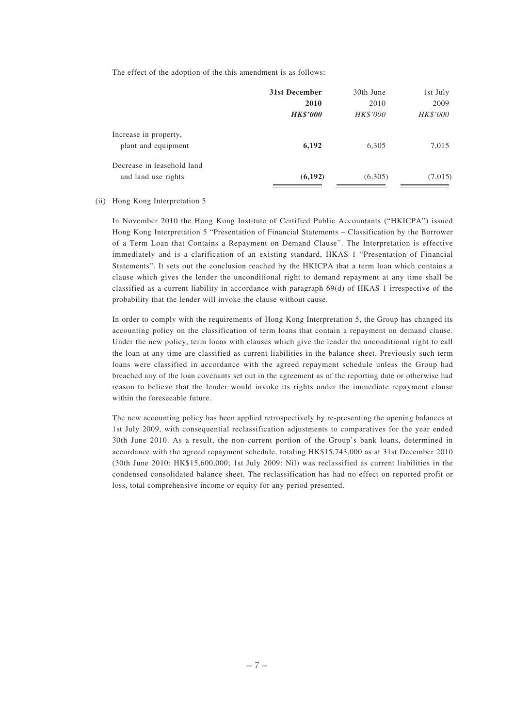The effect of the adoption of the this amendment is as follows:

|                            | 31st December   | 30th June | 1st July |
|----------------------------|-----------------|-----------|----------|
|                            | 2010            | 2010      | 2009     |
|                            | <b>HK\$'000</b> | HK\$'000  | HK\$'000 |
| Increase in property,      |                 |           |          |
| plant and equipment        | 6,192           | 6,305     | 7,015    |
| Decrease in leasehold land |                 |           |          |
| and land use rights        | (6, 192)        | (6,305)   | (7,015)  |
|                            |                 |           |          |

#### (ii) Hong Kong Interpretation 5

In November 2010 the Hong Kong Institute of Certified Public Accountants ("HKICPA") issued Hong Kong Interpretation 5 "Presentation of Financial Statements – Classification by the Borrower of a Term Loan that Contains a Repayment on Demand Clause". The Interpretation is effective immediately and is a clarification of an existing standard, HKAS 1 "Presentation of Financial Statements". It sets out the conclusion reached by the HKICPA that a term loan which contains a clause which gives the lender the unconditional right to demand repayment at any time shall be classified as a current liability in accordance with paragraph 69(d) of HKAS 1 irrespective of the probability that the lender will invoke the clause without cause.

In order to comply with the requirements of Hong Kong Interpretation 5, the Group has changed its accounting policy on the classification of term loans that contain a repayment on demand clause. Under the new policy, term loans with clauses which give the lender the unconditional right to call the loan at any time are classified as current liabilities in the balance sheet. Previously such term loans were classified in accordance with the agreed repayment schedule unless the Group had breached any of the loan covenants set out in the agreement as of the reporting date or otherwise had reason to believe that the lender would invoke its rights under the immediate repayment clause within the foreseeable future.

The new accounting policy has been applied retrospectively by re-presenting the opening balances at 1st July 2009, with consequential reclassification adjustments to comparatives for the year ended 30th June 2010. As a result, the non-current portion of the Group's bank loans, determined in accordance with the agreed repayment schedule, totaling HK\$15,743,000 as at 31st December 2010 (30th June 2010: HK\$15,600,000; 1st July 2009: Nil) was reclassified as current liabilities in the condensed consolidated balance sheet. The reclassification has had no effect on reported profit or loss, total comprehensive income or equity for any period presented.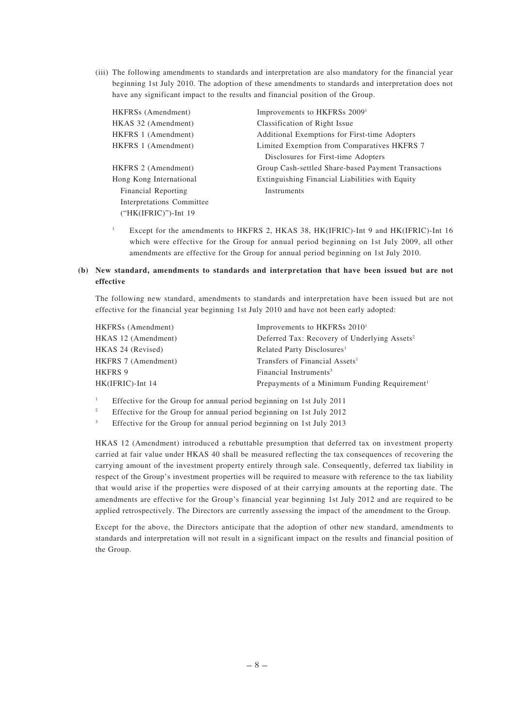(iii) The following amendments to standards and interpretation are also mandatory for the financial year beginning 1st July 2010. The adoption of these amendments to standards and interpretation does not have any significant impact to the results and financial position of the Group.

| HKFRSs (Amendment)        | Improvements to HKFRSs 2009 <sup>1</sup>            |
|---------------------------|-----------------------------------------------------|
| HKAS 32 (Amendment)       | Classification of Right Issue                       |
| HKFRS 1 (Amendment)       | Additional Exemptions for First-time Adopters       |
| HKFRS 1 (Amendment)       | Limited Exemption from Comparatives HKFRS 7         |
|                           | Disclosures for First-time Adopters                 |
| HKFRS 2 (Amendment)       | Group Cash-settled Share-based Payment Transactions |
| Hong Kong International   | Extinguishing Financial Liabilities with Equity     |
| Financial Reporting       | Instruments                                         |
| Interpretations Committee |                                                     |
| $("HK(IFRIC)")$ -Int 19   |                                                     |

<sup>1</sup> Except for the amendments to HKFRS 2, HKAS 38, HK(IFRIC)-Int 9 and HK(IFRIC)-Int 16 which were effective for the Group for annual period beginning on 1st July 2009, all other amendments are effective for the Group for annual period beginning on 1st July 2010.

## **(b) New standard, amendments to standards and interpretation that have been issued but are not effective**

The following new standard, amendments to standards and interpretation have been issued but are not effective for the financial year beginning 1st July 2010 and have not been early adopted:

| HKFRS <sub>s</sub> (Amendment) | Improvements to HKFRSs 2010 <sup>1</sup>                  |
|--------------------------------|-----------------------------------------------------------|
| HKAS 12 (Amendment)            | Deferred Tax: Recovery of Underlying Assets <sup>2</sup>  |
| HKAS 24 (Revised)              | Related Party Disclosures <sup>1</sup>                    |
| HKFRS 7 (Amendment)            | Transfers of Financial Assets <sup>1</sup>                |
| HKFRS 9                        | Financial Instruments <sup>3</sup>                        |
| HK(IFRIC)-Int 14               | Prepayments of a Minimum Funding Requirement <sup>1</sup> |
|                                |                                                           |

<sup>1</sup> Effective for the Group for annual period beginning on 1st July 2011

<sup>2</sup> Effective for the Group for annual period beginning on 1st July 2012

<sup>3</sup> Effective for the Group for annual period beginning on 1st July 2013

HKAS 12 (Amendment) introduced a rebuttable presumption that deferred tax on investment property carried at fair value under HKAS 40 shall be measured reflecting the tax consequences of recovering the carrying amount of the investment property entirely through sale. Consequently, deferred tax liability in respect of the Group's investment properties will be required to measure with reference to the tax liability that would arise if the properties were disposed of at their carrying amounts at the reporting date. The amendments are effective for the Group's financial year beginning 1st July 2012 and are required to be applied retrospectively. The Directors are currently assessing the impact of the amendment to the Group.

Except for the above, the Directors anticipate that the adoption of other new standard, amendments to standards and interpretation will not result in a significant impact on the results and financial position of the Group.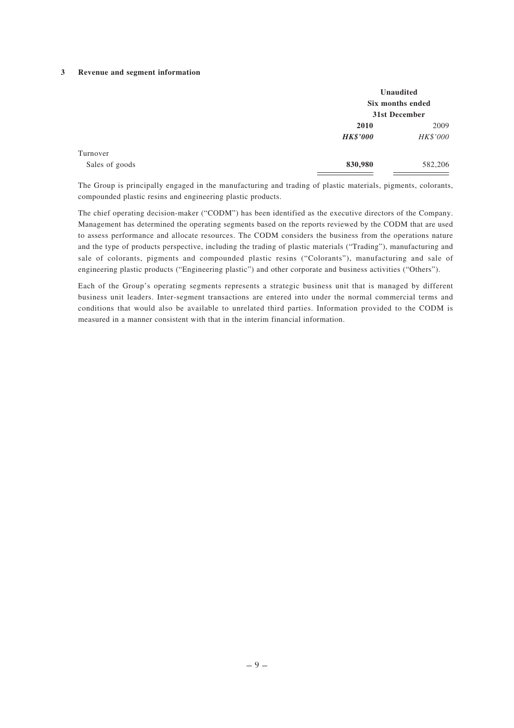### **3 Revenue and segment information**

|                |                 | <b>Unaudited</b><br>Six months ended<br>31st December |
|----------------|-----------------|-------------------------------------------------------|
|                | 2010            | 2009                                                  |
|                | <b>HK\$'000</b> | HK\$'000                                              |
| Turnover       |                 |                                                       |
| Sales of goods | 830,980         | 582,206                                               |

The Group is principally engaged in the manufacturing and trading of plastic materials, pigments, colorants, compounded plastic resins and engineering plastic products.

The chief operating decision-maker ("CODM") has been identified as the executive directors of the Company. Management has determined the operating segments based on the reports reviewed by the CODM that are used to assess performance and allocate resources. The CODM considers the business from the operations nature and the type of products perspective, including the trading of plastic materials ("Trading"), manufacturing and sale of colorants, pigments and compounded plastic resins ("Colorants"), manufacturing and sale of engineering plastic products ("Engineering plastic") and other corporate and business activities ("Others").

Each of the Group's operating segments represents a strategic business unit that is managed by different business unit leaders. Inter-segment transactions are entered into under the normal commercial terms and conditions that would also be available to unrelated third parties. Information provided to the CODM is measured in a manner consistent with that in the interim financial information.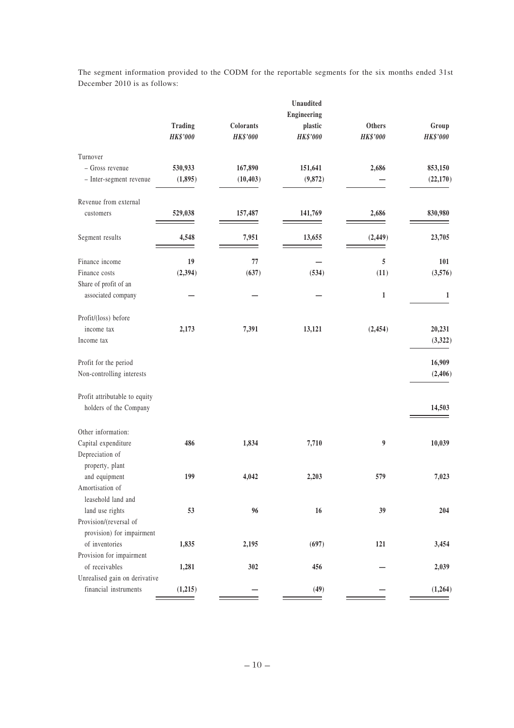|                               |                                   |                              | Unaudited           |                           |                          |
|-------------------------------|-----------------------------------|------------------------------|---------------------|---------------------------|--------------------------|
|                               |                                   |                              | Engineering         |                           |                          |
|                               | <b>Trading</b><br><b>HK\$'000</b> | Colorants<br><b>HK\$'000</b> | plastic<br>HK\$'000 | Others<br><b>HK\$'000</b> | Group<br><b>HK\$'000</b> |
| Turnover                      |                                   |                              |                     |                           |                          |
| - Gross revenue               | 530,933                           | 167,890                      | 151,641             | 2,686                     | 853,150                  |
| - Inter-segment revenue       | (1, 895)                          | (10, 403)                    | (9, 872)            |                           | (22, 170)                |
| Revenue from external         |                                   |                              |                     |                           |                          |
| customers                     | 529,038                           | 157,487                      | 141,769             | 2,686                     | 830,980                  |
| Segment results               | 4,548                             | 7,951                        | 13,655              | (2, 449)                  | 23,705                   |
| Finance income                | 19                                | 77                           |                     | 5                         | 101                      |
| Finance costs                 | (2, 394)                          | (637)                        | (534)               | (11)                      | (3,576)                  |
| Share of profit of an         |                                   |                              |                     |                           |                          |
| associated company            |                                   |                              |                     | $\mathbf{1}$              | 1                        |
| Profit/(loss) before          |                                   |                              |                     |                           |                          |
| income tax                    | 2,173                             | 7,391                        | 13,121              | (2, 454)                  | 20,231                   |
| Income tax                    |                                   |                              |                     |                           | (3,322)                  |
| Profit for the period         |                                   |                              |                     |                           | 16,909                   |
| Non-controlling interests     |                                   |                              |                     |                           | (2, 406)                 |
| Profit attributable to equity |                                   |                              |                     |                           |                          |
| holders of the Company        |                                   |                              |                     |                           | 14,503                   |
| Other information:            |                                   |                              |                     |                           |                          |
| Capital expenditure           | 486                               | 1,834                        | 7,710               | 9                         | 10,039                   |
| Depreciation of               |                                   |                              |                     |                           |                          |
| property, plant               |                                   |                              |                     |                           |                          |
| and equipment                 | 199                               | 4,042                        | 2,203               | 579                       | 7,023                    |
| Amortisation of               |                                   |                              |                     |                           |                          |
| leasehold land and            |                                   |                              |                     |                           |                          |
| land use rights               | 53                                | 96                           | 16                  | 39                        | 204                      |
| Provision/(reversal of        |                                   |                              |                     |                           |                          |
| provision) for impairment     |                                   |                              |                     |                           |                          |
| of inventories                | 1,835                             | 2,195                        | (697)               | 121                       | 3,454                    |
| Provision for impairment      |                                   |                              |                     |                           |                          |
| of receivables                | 1,281                             | 302                          | 456                 |                           | 2,039                    |
| Unrealised gain on derivative |                                   |                              |                     |                           |                          |
| financial instruments         | (1,215)                           |                              | (49)                |                           | (1,264)                  |

The segment information provided to the CODM for the reportable segments for the six months ended 31st December 2010 is as follows: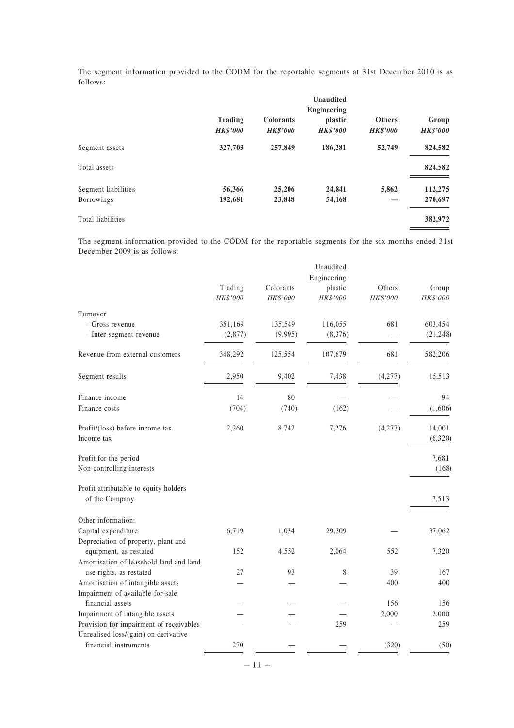The segment information provided to the CODM for the reportable segments at 31st December 2010 is as follows:

|                                          | Trading<br><b>HK\$'000</b> | <b>Colorants</b><br><b>HK\$'000</b> | <b>Unaudited</b><br>Engineering<br>plastic<br><b>HK\$'000</b> | <b>Others</b><br><b>HK\$'000</b> | Group<br><b>HK\$'000</b> |
|------------------------------------------|----------------------------|-------------------------------------|---------------------------------------------------------------|----------------------------------|--------------------------|
| Segment assets                           | 327,703                    | 257,849                             | 186,281                                                       | 52,749                           | 824,582                  |
| Total assets                             |                            |                                     |                                                               |                                  | 824,582                  |
| Segment liabilities<br><b>Borrowings</b> | 56,366<br>192,681          | 25,206<br>23,848                    | 24,841<br>54,168                                              | 5,862                            | 112,275<br>270,697       |
| Total liabilities                        |                            |                                     |                                                               |                                  | 382,972                  |

The segment information provided to the CODM for the reportable segments for the six months ended 31st December 2009 is as follows:

|                                                              |                     |                       | Unaudited<br>Engineering |                    |                   |
|--------------------------------------------------------------|---------------------|-----------------------|--------------------------|--------------------|-------------------|
|                                                              | Trading<br>HK\$'000 | Colorants<br>HK\$'000 | plastic<br>HK\$'000      | Others<br>HK\$'000 | Group<br>HK\$'000 |
| Turnover                                                     |                     |                       |                          |                    |                   |
| - Gross revenue                                              | 351,169             | 135,549               | 116,055                  | 681                | 603,454           |
| - Inter-segment revenue                                      | (2,877)             | (9,995)               | (8,376)                  |                    | (21, 248)         |
| Revenue from external customers                              | 348,292             | 125,554               | 107,679                  | 681                | 582,206           |
| Segment results                                              | 2,950               | 9,402                 | 7,438                    | (4,277)            | 15,513            |
| Finance income                                               | 14                  | 80                    |                          |                    | 94                |
| Finance costs                                                | (704)               | (740)                 | (162)                    |                    | (1,606)           |
| Profit/(loss) before income tax<br>Income tax                | 2,260               | 8,742                 | 7,276                    | (4,277)            | 14,001<br>(6,320) |
| Profit for the period                                        |                     |                       |                          |                    | 7,681             |
| Non-controlling interests                                    |                     |                       |                          |                    | (168)             |
| Profit attributable to equity holders<br>of the Company      |                     |                       |                          |                    | 7,513             |
| Other information:                                           |                     |                       |                          |                    |                   |
| Capital expenditure                                          | 6,719               | 1,034                 | 29,309                   |                    | 37,062            |
| Depreciation of property, plant and                          |                     |                       |                          |                    |                   |
| equipment, as restated                                       | 152                 | 4,552                 | 2,064                    | 552                | 7,320             |
| Amortisation of leasehold land and land                      | 27                  | 93                    | 8                        | 39                 | 167               |
| use rights, as restated<br>Amortisation of intangible assets |                     |                       |                          | 400                | 400               |
| Impairment of available-for-sale                             |                     |                       |                          |                    |                   |
| financial assets                                             |                     |                       |                          | 156                | 156               |
| Impairment of intangible assets                              |                     |                       |                          | 2,000              | 2,000             |
| Provision for impairment of receivables                      |                     |                       | 259                      |                    | 259               |
| Unrealised loss/(gain) on derivative                         |                     |                       |                          |                    |                   |
| financial instruments                                        | 270                 |                       |                          | (320)              | (50)              |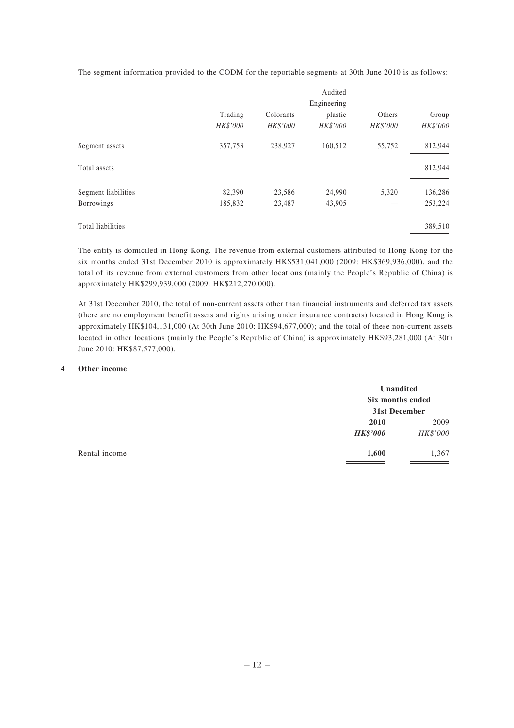The segment information provided to the CODM for the reportable segments at 30th June 2010 is as follows:

|                     |          |           | Audited         |          |          |
|---------------------|----------|-----------|-----------------|----------|----------|
|                     |          |           | Engineering     |          |          |
|                     | Trading  | Colorants | plastic         | Others   | Group    |
|                     | HK\$'000 | HK\$'000  | <b>HK\$'000</b> | HK\$'000 | HK\$'000 |
| Segment assets      | 357,753  | 238,927   | 160,512         | 55,752   | 812,944  |
| Total assets        |          |           |                 |          | 812,944  |
| Segment liabilities | 82,390   | 23,586    | 24,990          | 5,320    | 136,286  |
| Borrowings          | 185,832  | 23,487    | 43,905          |          | 253,224  |
| Total liabilities   |          |           |                 |          | 389,510  |

The entity is domiciled in Hong Kong. The revenue from external customers attributed to Hong Kong for the six months ended 31st December 2010 is approximately HK\$531,041,000 (2009: HK\$369,936,000), and the total of its revenue from external customers from other locations (mainly the People's Republic of China) is approximately HK\$299,939,000 (2009: HK\$212,270,000).

At 31st December 2010, the total of non-current assets other than financial instruments and deferred tax assets (there are no employment benefit assets and rights arising under insurance contracts) located in Hong Kong is approximately HK\$104,131,000 (At 30th June 2010: HK\$94,677,000); and the total of these non-current assets located in other locations (mainly the People's Republic of China) is approximately HK\$93,281,000 (At 30th June 2010: HK\$87,577,000).

#### **4 Other income**

|               |                 | Unaudited<br>Six months ended<br>31st December |  |
|---------------|-----------------|------------------------------------------------|--|
|               |                 |                                                |  |
|               | 2010            | 2009                                           |  |
|               | <b>HK\$'000</b> | HK\$'000                                       |  |
| Rental income | 1,600           | 1,367                                          |  |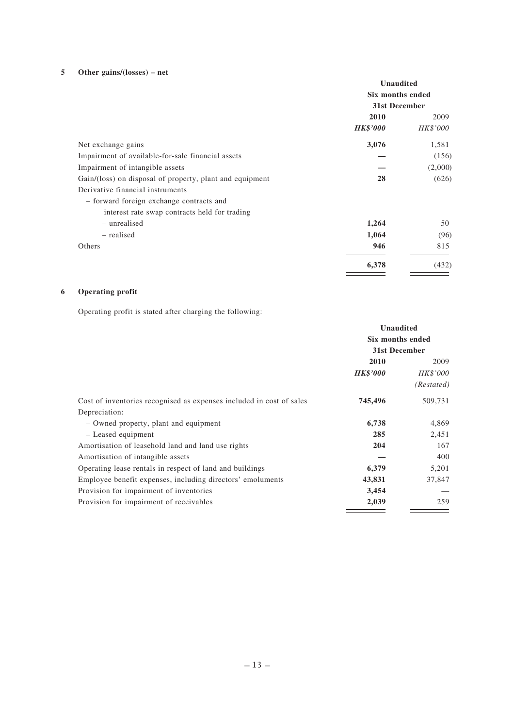# **5 Other gains/(losses) – net**

|                                                          | <b>Unaudited</b><br>Six months ended<br>31st December |                 |
|----------------------------------------------------------|-------------------------------------------------------|-----------------|
|                                                          |                                                       |                 |
|                                                          |                                                       |                 |
|                                                          | 2010                                                  | 2009            |
|                                                          | <i><b>HK\$'000</b></i>                                | <i>HK\$'000</i> |
| Net exchange gains                                       | 3,076                                                 | 1,581           |
| Impairment of available-for-sale financial assets        |                                                       | (156)           |
| Impairment of intangible assets                          |                                                       | (2,000)         |
| Gain/(loss) on disposal of property, plant and equipment | 28                                                    | (626)           |
| Derivative financial instruments                         |                                                       |                 |
| - forward foreign exchange contracts and                 |                                                       |                 |
| interest rate swap contracts held for trading            |                                                       |                 |
| - unrealised                                             | 1,264                                                 | 50              |
| – realised                                               | 1,064                                                 | (96)            |
| Others                                                   | 946                                                   | 815             |
|                                                          | 6,378                                                 | (432)           |

# **6 Operating profit**

Operating profit is stated after charging the following:

|                                                                      | <b>Unaudited</b>                  |                 |
|----------------------------------------------------------------------|-----------------------------------|-----------------|
|                                                                      | Six months ended<br>31st December |                 |
|                                                                      |                                   |                 |
|                                                                      | 2010                              | 2009            |
|                                                                      | <b>HK\$'000</b>                   | <i>HK\$'000</i> |
|                                                                      |                                   | (Restated)      |
| Cost of inventories recognised as expenses included in cost of sales | 745,496                           | 509,731         |
| Depreciation:                                                        |                                   |                 |
| - Owned property, plant and equipment                                | 6,738                             | 4,869           |
| - Leased equipment                                                   | 285                               | 2,451           |
| Amortisation of leasehold land and land use rights                   | 204                               | 167             |
| Amortisation of intangible assets                                    |                                   | 400             |
| Operating lease rentals in respect of land and buildings             | 6,379                             | 5,201           |
| Employee benefit expenses, including directors' emoluments           | 43,831                            | 37,847          |
| Provision for impairment of inventories                              | 3,454                             |                 |
| Provision for impairment of receivables                              | 2,039                             | 259             |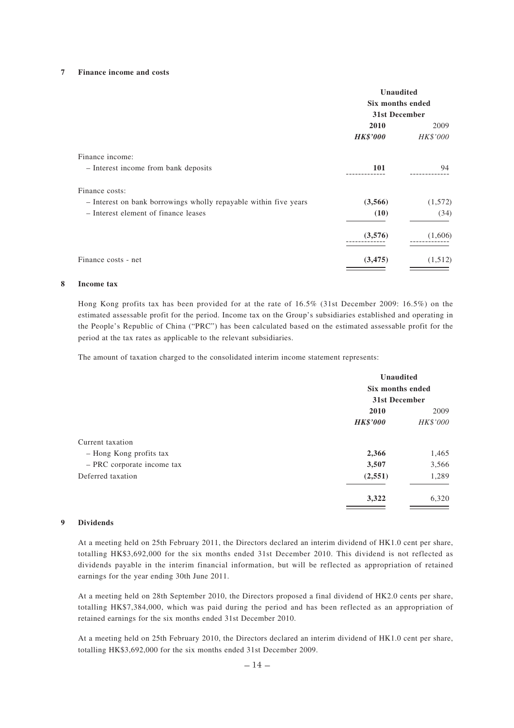### **7 Finance income and costs**

|                                                                  | Unaudited<br>Six months ended<br>31st December |          |
|------------------------------------------------------------------|------------------------------------------------|----------|
|                                                                  | 2010                                           | 2009     |
|                                                                  | <i><b>HK\$'000</b></i>                         | HK\$'000 |
| Finance income:                                                  |                                                |          |
| - Interest income from bank deposits                             | 101                                            | 94       |
| Finance costs:                                                   |                                                |          |
| - Interest on bank borrowings wholly repayable within five years | (3,566)                                        | (1, 572) |
| - Interest element of finance leases                             | (10)                                           | (34)     |
|                                                                  | (3,576)                                        | (1,606)  |
| Finance costs - net                                              | (3, 475)                                       | (1, 512) |

#### **8 Income tax**

Hong Kong profits tax has been provided for at the rate of 16.5% (31st December 2009: 16.5%) on the estimated assessable profit for the period. Income tax on the Group's subsidiaries established and operating in the People's Republic of China ("PRC") has been calculated based on the estimated assessable profit for the period at the tax rates as applicable to the relevant subsidiaries.

The amount of taxation charged to the consolidated interim income statement represents:

|                            | Unaudited<br>Six months ended<br>31st December |          |
|----------------------------|------------------------------------------------|----------|
|                            |                                                |          |
|                            |                                                |          |
|                            | 2010                                           | 2009     |
|                            | <b>HK\$'000</b>                                | HK\$'000 |
| Current taxation           |                                                |          |
| - Hong Kong profits tax    | 2,366                                          | 1,465    |
| - PRC corporate income tax | 3,507                                          | 3,566    |
| Deferred taxation          | (2, 551)                                       | 1,289    |
|                            | 3,322                                          | 6,320    |

### **9 Dividends**

At a meeting held on 25th February 2011, the Directors declared an interim dividend of HK1.0 cent per share, totalling HK\$3,692,000 for the six months ended 31st December 2010. This dividend is not reflected as dividends payable in the interim financial information, but will be reflected as appropriation of retained earnings for the year ending 30th June 2011.

At a meeting held on 28th September 2010, the Directors proposed a final dividend of HK2.0 cents per share, totalling HK\$7,384,000, which was paid during the period and has been reflected as an appropriation of retained earnings for the six months ended 31st December 2010.

At a meeting held on 25th February 2010, the Directors declared an interim dividend of HK1.0 cent per share, totalling HK\$3,692,000 for the six months ended 31st December 2009.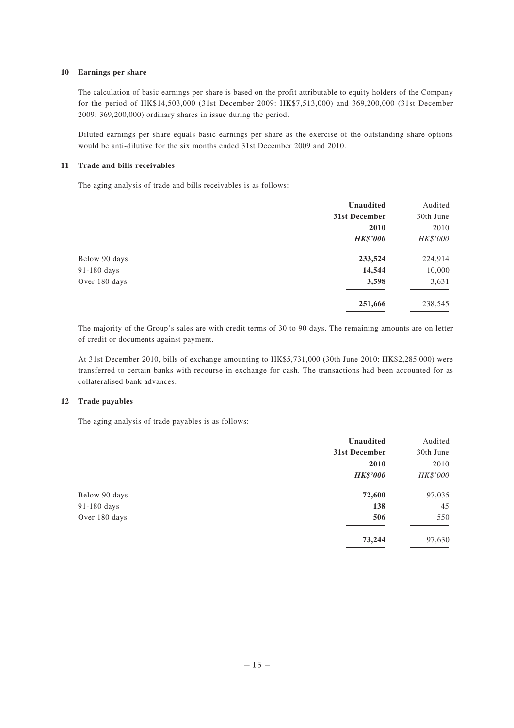### **10 Earnings per share**

The calculation of basic earnings per share is based on the profit attributable to equity holders of the Company for the period of HK\$14,503,000 (31st December 2009: HK\$7,513,000) and 369,200,000 (31st December 2009: 369,200,000) ordinary shares in issue during the period.

Diluted earnings per share equals basic earnings per share as the exercise of the outstanding share options would be anti-dilutive for the six months ended 31st December 2009 and 2010.

### **11 Trade and bills receivables**

The aging analysis of trade and bills receivables is as follows:

|               | <b>Unaudited</b> | Audited   |
|---------------|------------------|-----------|
|               | 31st December    | 30th June |
|               | 2010             | 2010      |
|               | <b>HK\$'000</b>  | HK\$'000  |
| Below 90 days | 233,524          | 224,914   |
| 91-180 days   | 14,544           | 10,000    |
| Over 180 days | 3,598            | 3,631     |
|               | 251,666          | 238,545   |

The majority of the Group's sales are with credit terms of 30 to 90 days. The remaining amounts are on letter of credit or documents against payment.

At 31st December 2010, bills of exchange amounting to HK\$5,731,000 (30th June 2010: HK\$2,285,000) were transferred to certain banks with recourse in exchange for cash. The transactions had been accounted for as collateralised bank advances.

## **12 Trade payables**

The aging analysis of trade payables is as follows:

|               | Unaudited       | Audited   |
|---------------|-----------------|-----------|
|               | 31st December   | 30th June |
|               | 2010            | 2010      |
|               | <b>HK\$'000</b> | HK\$'000  |
| Below 90 days | 72,600          | 97,035    |
| 91-180 days   | 138             | 45        |
| Over 180 days | 506             | 550       |
|               | 73,244          | 97,630    |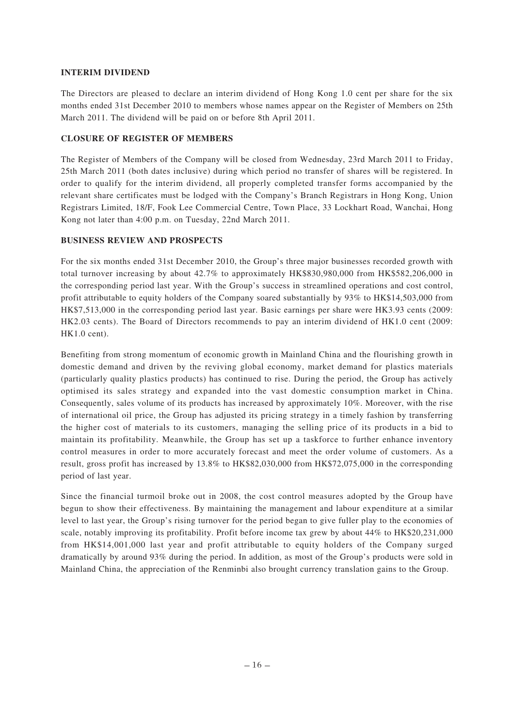## **INTERIM DIVIDEND**

The Directors are pleased to declare an interim dividend of Hong Kong 1.0 cent per share for the six months ended 31st December 2010 to members whose names appear on the Register of Members on 25th March 2011. The dividend will be paid on or before 8th April 2011.

### **CLOSURE OF REGISTER OF MEMBERS**

The Register of Members of the Company will be closed from Wednesday, 23rd March 2011 to Friday, 25th March 2011 (both dates inclusive) during which period no transfer of shares will be registered. In order to qualify for the interim dividend, all properly completed transfer forms accompanied by the relevant share certificates must be lodged with the Company's Branch Registrars in Hong Kong, Union Registrars Limited, 18/F, Fook Lee Commercial Centre, Town Place, 33 Lockhart Road, Wanchai, Hong Kong not later than 4:00 p.m. on Tuesday, 22nd March 2011.

## **BUSINESS REVIEW AND PROSPECTS**

For the six months ended 31st December 2010, the Group's three major businesses recorded growth with total turnover increasing by about 42.7% to approximately HK\$830,980,000 from HK\$582,206,000 in the corresponding period last year. With the Group's success in streamlined operations and cost control, profit attributable to equity holders of the Company soared substantially by 93% to HK\$14,503,000 from HK\$7,513,000 in the corresponding period last year. Basic earnings per share were HK3.93 cents (2009: HK2.03 cents). The Board of Directors recommends to pay an interim dividend of HK1.0 cent (2009: HK1.0 cent).

Benefiting from strong momentum of economic growth in Mainland China and the flourishing growth in domestic demand and driven by the reviving global economy, market demand for plastics materials (particularly quality plastics products) has continued to rise. During the period, the Group has actively optimised its sales strategy and expanded into the vast domestic consumption market in China. Consequently, sales volume of its products has increased by approximately 10%. Moreover, with the rise of international oil price, the Group has adjusted its pricing strategy in a timely fashion by transferring the higher cost of materials to its customers, managing the selling price of its products in a bid to maintain its profitability. Meanwhile, the Group has set up a taskforce to further enhance inventory control measures in order to more accurately forecast and meet the order volume of customers. As a result, gross profit has increased by 13.8% to HK\$82,030,000 from HK\$72,075,000 in the corresponding period of last year.

Since the financial turmoil broke out in 2008, the cost control measures adopted by the Group have begun to show their effectiveness. By maintaining the management and labour expenditure at a similar level to last year, the Group's rising turnover for the period began to give fuller play to the economies of scale, notably improving its profitability. Profit before income tax grew by about 44% to HK\$20,231,000 from HK\$14,001,000 last year and profit attributable to equity holders of the Company surged dramatically by around 93% during the period. In addition, as most of the Group's products were sold in Mainland China, the appreciation of the Renminbi also brought currency translation gains to the Group.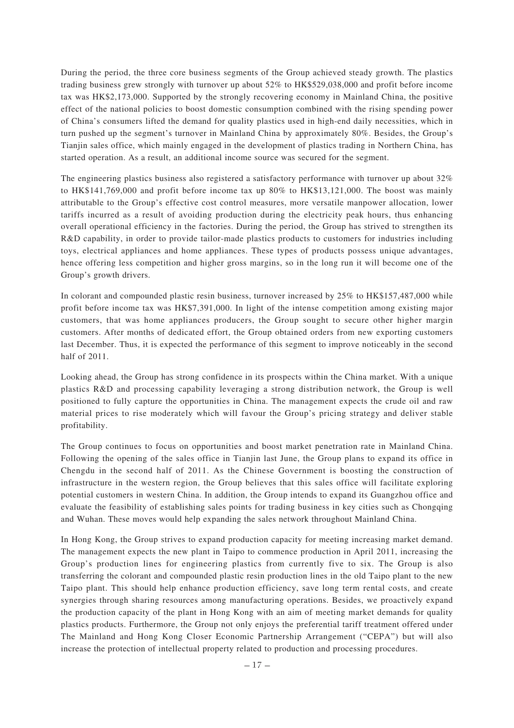During the period, the three core business segments of the Group achieved steady growth. The plastics trading business grew strongly with turnover up about 52% to HK\$529,038,000 and profit before income tax was HK\$2,173,000. Supported by the strongly recovering economy in Mainland China, the positive effect of the national policies to boost domestic consumption combined with the rising spending power of China's consumers lifted the demand for quality plastics used in high-end daily necessities, which in turn pushed up the segment's turnover in Mainland China by approximately 80%. Besides, the Group's Tianjin sales office, which mainly engaged in the development of plastics trading in Northern China, has started operation. As a result, an additional income source was secured for the segment.

The engineering plastics business also registered a satisfactory performance with turnover up about 32% to HK\$141,769,000 and profit before income tax up 80% to HK\$13,121,000. The boost was mainly attributable to the Group's effective cost control measures, more versatile manpower allocation, lower tariffs incurred as a result of avoiding production during the electricity peak hours, thus enhancing overall operational efficiency in the factories. During the period, the Group has strived to strengthen its R&D capability, in order to provide tailor-made plastics products to customers for industries including toys, electrical appliances and home appliances. These types of products possess unique advantages, hence offering less competition and higher gross margins, so in the long run it will become one of the Group's growth drivers.

In colorant and compounded plastic resin business, turnover increased by 25% to HK\$157,487,000 while profit before income tax was HK\$7,391,000. In light of the intense competition among existing major customers, that was home appliances producers, the Group sought to secure other higher margin customers. After months of dedicated effort, the Group obtained orders from new exporting customers last December. Thus, it is expected the performance of this segment to improve noticeably in the second half of 2011.

Looking ahead, the Group has strong confidence in its prospects within the China market. With a unique plastics R&D and processing capability leveraging a strong distribution network, the Group is well positioned to fully capture the opportunities in China. The management expects the crude oil and raw material prices to rise moderately which will favour the Group's pricing strategy and deliver stable profitability.

The Group continues to focus on opportunities and boost market penetration rate in Mainland China. Following the opening of the sales office in Tianjin last June, the Group plans to expand its office in Chengdu in the second half of 2011. As the Chinese Government is boosting the construction of infrastructure in the western region, the Group believes that this sales office will facilitate exploring potential customers in western China. In addition, the Group intends to expand its Guangzhou office and evaluate the feasibility of establishing sales points for trading business in key cities such as Chongqing and Wuhan. These moves would help expanding the sales network throughout Mainland China.

In Hong Kong, the Group strives to expand production capacity for meeting increasing market demand. The management expects the new plant in Taipo to commence production in April 2011, increasing the Group's production lines for engineering plastics from currently five to six. The Group is also transferring the colorant and compounded plastic resin production lines in the old Taipo plant to the new Taipo plant. This should help enhance production efficiency, save long term rental costs, and create synergies through sharing resources among manufacturing operations. Besides, we proactively expand the production capacity of the plant in Hong Kong with an aim of meeting market demands for quality plastics products. Furthermore, the Group not only enjoys the preferential tariff treatment offered under The Mainland and Hong Kong Closer Economic Partnership Arrangement ("CEPA") but will also increase the protection of intellectual property related to production and processing procedures.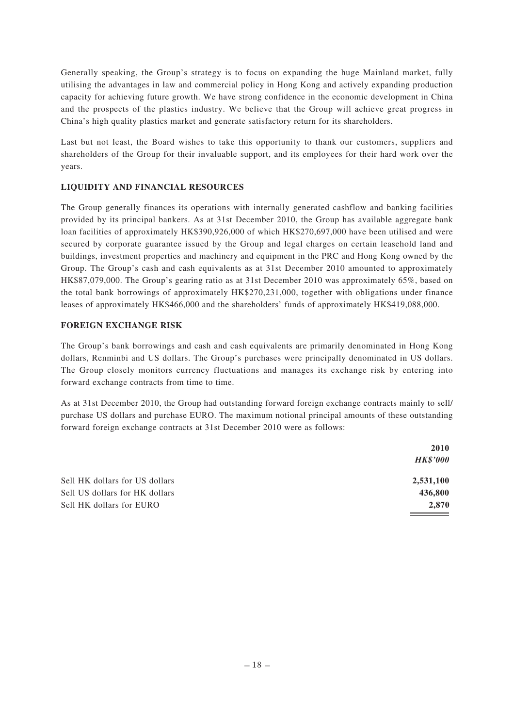Generally speaking, the Group's strategy is to focus on expanding the huge Mainland market, fully utilising the advantages in law and commercial policy in Hong Kong and actively expanding production capacity for achieving future growth. We have strong confidence in the economic development in China and the prospects of the plastics industry. We believe that the Group will achieve great progress in China's high quality plastics market and generate satisfactory return for its shareholders.

Last but not least, the Board wishes to take this opportunity to thank our customers, suppliers and shareholders of the Group for their invaluable support, and its employees for their hard work over the years.

## **LIQUIDITY AND FINANCIAL RESOURCES**

The Group generally finances its operations with internally generated cashflow and banking facilities provided by its principal bankers. As at 31st December 2010, the Group has available aggregate bank loan facilities of approximately HK\$390,926,000 of which HK\$270,697,000 have been utilised and were secured by corporate guarantee issued by the Group and legal charges on certain leasehold land and buildings, investment properties and machinery and equipment in the PRC and Hong Kong owned by the Group. The Group's cash and cash equivalents as at 31st December 2010 amounted to approximately HK\$87,079,000. The Group's gearing ratio as at 31st December 2010 was approximately 65%, based on the total bank borrowings of approximately HK\$270,231,000, together with obligations under finance leases of approximately HK\$466,000 and the shareholders' funds of approximately HK\$419,088,000.

## **FOREIGN EXCHANGE RISK**

The Group's bank borrowings and cash and cash equivalents are primarily denominated in Hong Kong dollars, Renminbi and US dollars. The Group's purchases were principally denominated in US dollars. The Group closely monitors currency fluctuations and manages its exchange risk by entering into forward exchange contracts from time to time.

As at 31st December 2010, the Group had outstanding forward foreign exchange contracts mainly to sell/ purchase US dollars and purchase EURO. The maximum notional principal amounts of these outstanding forward foreign exchange contracts at 31st December 2010 were as follows:

|                                | 2010            |
|--------------------------------|-----------------|
|                                | <b>HK\$'000</b> |
| Sell HK dollars for US dollars | 2,531,100       |
| Sell US dollars for HK dollars | 436,800         |
| Sell HK dollars for EURO       | 2.870           |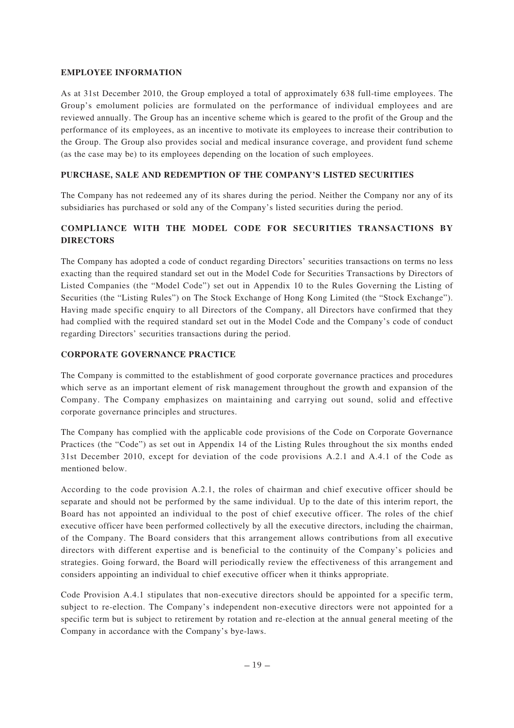## **EMPLOYEE INFORMATION**

As at 31st December 2010, the Group employed a total of approximately 638 full-time employees. The Group's emolument policies are formulated on the performance of individual employees and are reviewed annually. The Group has an incentive scheme which is geared to the profit of the Group and the performance of its employees, as an incentive to motivate its employees to increase their contribution to the Group. The Group also provides social and medical insurance coverage, and provident fund scheme (as the case may be) to its employees depending on the location of such employees.

## **PURCHASE, SALE AND REDEMPTION OF THE COMPANY'S LISTED SECURITIES**

The Company has not redeemed any of its shares during the period. Neither the Company nor any of its subsidiaries has purchased or sold any of the Company's listed securities during the period.

# **COMPLIANCE WITH THE MODEL CODE FOR SECURITIES TRANSACTIONS BY DIRECTORS**

The Company has adopted a code of conduct regarding Directors' securities transactions on terms no less exacting than the required standard set out in the Model Code for Securities Transactions by Directors of Listed Companies (the "Model Code") set out in Appendix 10 to the Rules Governing the Listing of Securities (the "Listing Rules") on The Stock Exchange of Hong Kong Limited (the "Stock Exchange"). Having made specific enquiry to all Directors of the Company, all Directors have confirmed that they had complied with the required standard set out in the Model Code and the Company's code of conduct regarding Directors' securities transactions during the period.

## **CORPORATE GOVERNANCE PRACTICE**

The Company is committed to the establishment of good corporate governance practices and procedures which serve as an important element of risk management throughout the growth and expansion of the Company. The Company emphasizes on maintaining and carrying out sound, solid and effective corporate governance principles and structures.

The Company has complied with the applicable code provisions of the Code on Corporate Governance Practices (the "Code") as set out in Appendix 14 of the Listing Rules throughout the six months ended 31st December 2010, except for deviation of the code provisions A.2.1 and A.4.1 of the Code as mentioned below.

According to the code provision A.2.1, the roles of chairman and chief executive officer should be separate and should not be performed by the same individual. Up to the date of this interim report, the Board has not appointed an individual to the post of chief executive officer. The roles of the chief executive officer have been performed collectively by all the executive directors, including the chairman, of the Company. The Board considers that this arrangement allows contributions from all executive directors with different expertise and is beneficial to the continuity of the Company's policies and strategies. Going forward, the Board will periodically review the effectiveness of this arrangement and considers appointing an individual to chief executive officer when it thinks appropriate.

Code Provision A.4.1 stipulates that non-executive directors should be appointed for a specific term, subject to re-election. The Company's independent non-executive directors were not appointed for a specific term but is subject to retirement by rotation and re-election at the annual general meeting of the Company in accordance with the Company's bye-laws.